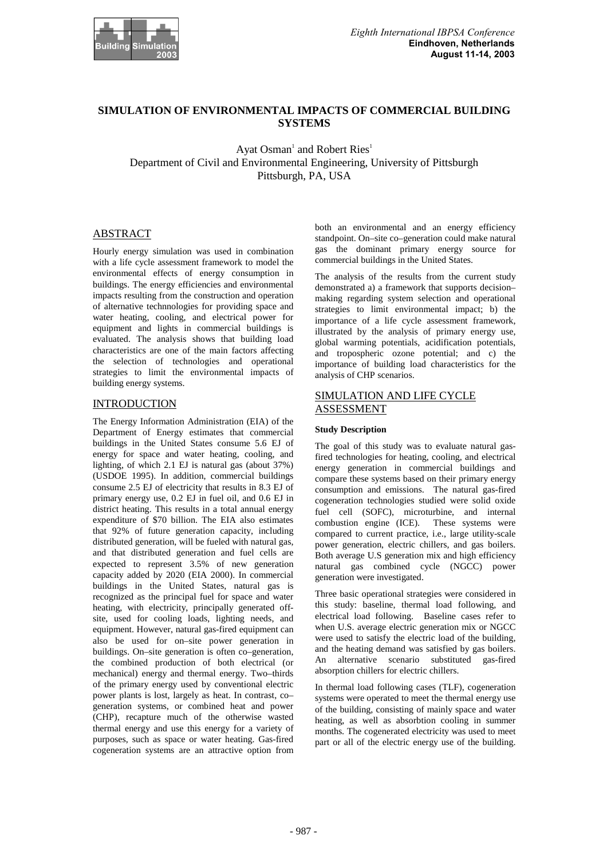

# **SIMULATION OF ENVIRONMENTAL IMPACTS OF COMMERCIAL BUILDING SYSTEMS**

Ayat Osman $^1$  and Robert Ries<sup>1</sup> Department of Civil and Environmental Engineering, University of Pittsburgh Pittsburgh, PA, USA

### ABSTRACT

Hourly energy simulation was used in combination with a life cycle assessment framework to model the environmental effects of energy consumption in buildings. The energy efficiencies and environmental impacts resulting from the construction and operation of alternative technnologies for providing space and water heating, cooling, and electrical power for equipment and lights in commercial buildings is evaluated. The analysis shows that building load characteristics are one of the main factors affecting the selection of technologies and operational strategies to limit the environmental impacts of building energy systems.

### INTRODUCTION

The Energy Information Administration (EIA) of the Department of Energy estimates that commercial buildings in the United States consume 5.6 EJ of energy for space and water heating, cooling, and lighting, of which 2.1 EJ is natural gas (about 37%) (USDOE 1995). In addition, commercial buildings consume 2.5 EJ of electricity that results in 8.3 EJ of primary energy use, 0.2 EJ in fuel oil, and 0.6 EJ in district heating. This results in a total annual energy expenditure of \$70 billion. The EIA also estimates that 92% of future generation capacity, including distributed generation, will be fueled with natural gas, and that distributed generation and fuel cells are expected to represent 3.5% of new generation capacity added by 2020 (EIA 2000). In commercial buildings in the United States, natural gas is recognized as the principal fuel for space and water heating, with electricity, principally generated offsite, used for cooling loads, lighting needs, and equipment. However, natural gas-fired equipment can also be used for on–site power generation in buildings. On–site generation is often co–generation, the combined production of both electrical (or mechanical) energy and thermal energy. Two–thirds of the primary energy used by conventional electric power plants is lost, largely as heat. In contrast, co– generation systems, or combined heat and power (CHP), recapture much of the otherwise wasted thermal energy and use this energy for a variety of purposes, such as space or water heating. Gas-fired cogeneration systems are an attractive option from both an environmental and an energy efficiency standpoint. On–site co–generation could make natural gas the dominant primary energy source for commercial buildings in the United States.

The analysis of the results from the current study demonstrated a) a framework that supports decision– making regarding system selection and operational strategies to limit environmental impact; b) the importance of a life cycle assessment framework, illustrated by the analysis of primary energy use, global warming potentials, acidification potentials, and tropospheric ozone potential; and c) the importance of building load characteristics for the analysis of CHP scenarios.

# SIMULATION AND LIFE CYCLE ASSESSMENT

#### **Study Description**

The goal of this study was to evaluate natural gasfired technologies for heating, cooling, and electrical energy generation in commercial buildings and compare these systems based on their primary energy consumption and emissions. The natural gas-fired cogeneration technologies studied were solid oxide fuel cell (SOFC), microturbine, and internal combustion engine (ICE). These systems were compared to current practice, i.e., large utility-scale power generation, electric chillers, and gas boilers. Both average U.S generation mix and high efficiency natural gas combined cycle (NGCC) power generation were investigated.

Three basic operational strategies were considered in this study: baseline, thermal load following, and electrical load following. Baseline cases refer to when U.S. average electric generation mix or NGCC were used to satisfy the electric load of the building, and the heating demand was satisfied by gas boilers. An alternative scenario substituted gas-fired absorption chillers for electric chillers.

In thermal load following cases (TLF), cogeneration systems were operated to meet the thermal energy use of the building, consisting of mainly space and water heating, as well as absorbtion cooling in summer months. The cogenerated electricity was used to meet part or all of the electric energy use of the building.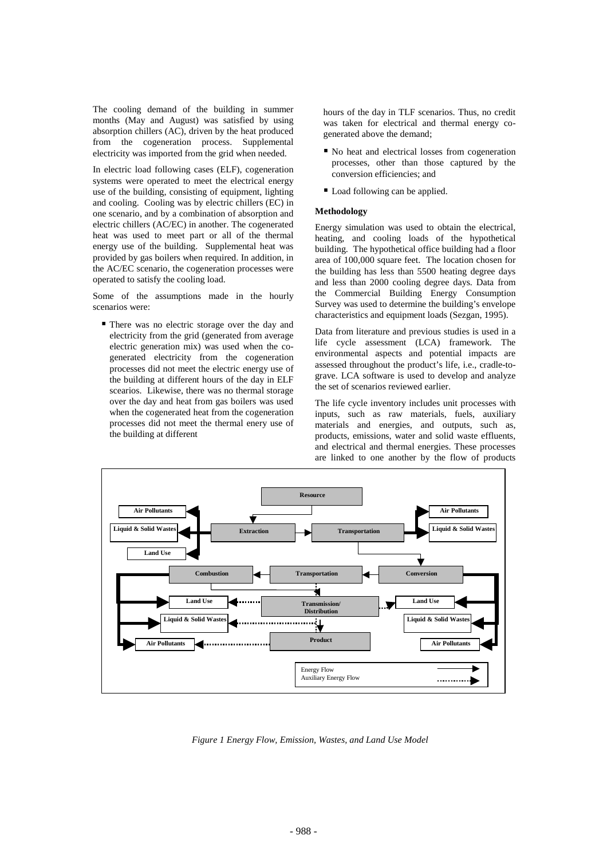The cooling demand of the building in summer months (May and August) was satisfied by using absorption chillers (AC), driven by the heat produced from the cogeneration process. Supplemental electricity was imported from the grid when needed.

In electric load following cases (ELF), cogeneration systems were operated to meet the electrical energy use of the building, consisting of equipment, lighting and cooling. Cooling was by electric chillers (EC) in one scenario, and by a combination of absorption and electric chillers (AC/EC) in another. The cogenerated heat was used to meet part or all of the thermal energy use of the building. Supplemental heat was provided by gas boilers when required. In addition, in the AC/EC scenario, the cogeneration processes were operated to satisfy the cooling load.

Some of the assumptions made in the hourly scenarios were:

-There was no electric storage over the day and electricity from the grid (generated from average electric generation mix) was used when the cogenerated electricity from the cogeneration processes did not meet the electric energy use of the building at different hours of the day in ELF scearios. Likewise, there was no thermal storage over the day and heat from gas boilers was used when the cogenerated heat from the cogeneration processes did not meet the thermal enery use of the building at different

hours of the day in TLF scenarios. Thus, no credit was taken for electrical and thermal energy cogenerated above the demand;

- $\blacksquare$  No heat and electrical losses from cogeneration processes, other than those captured by the conversion efficiencies; and
- Load following can be applied.

#### **Methodology**

Energy simulation was used to obtain the electrical, heating, and cooling loads of the hypothetical building. The hypothetical office building had a floor area of 100,000 square feet. The location chosen for the building has less than 5500 heating degree days and less than 2000 cooling degree days. Data from the Commercial Building Energy Consumption Survey was used to determine the building's envelope characteristics and equipment loads (Sezgan, 1995).

Data from literature and previous studies is used in a life cycle assessment (LCA) framework. The environmental aspects and potential impacts are assessed throughout the product's life, i.e., cradle-tograve. LCA software is used to develop and analyze the set of scenarios reviewed earlier.

The life cycle inventory includes unit processes with inputs, such as raw materials, fuels, auxiliary materials and energies, and outputs, such as, products, emissions, water and solid waste effluents, and electrical and thermal energies. These processes are linked to one another by the flow of products



*Figure 1 Energy Flow, Emission, Wastes, and Land Use Model*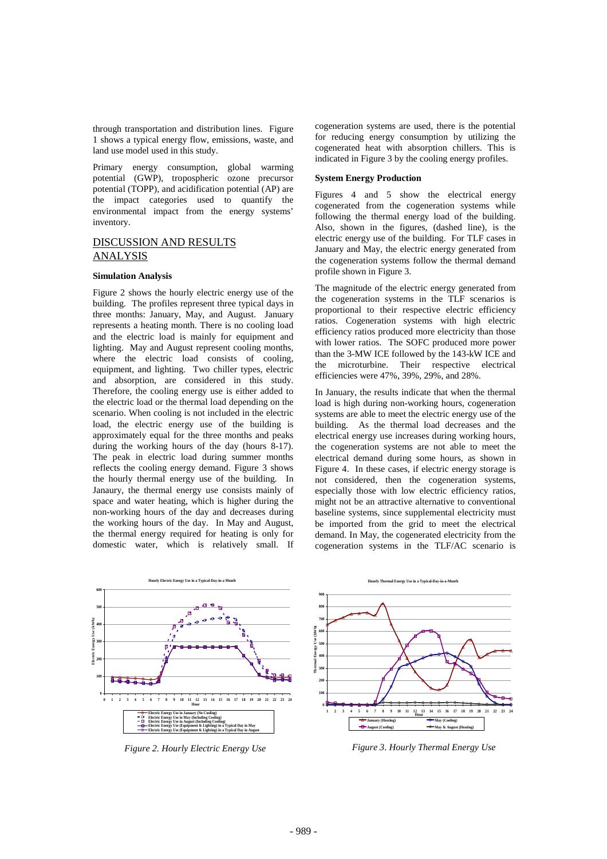through transportation and distribution lines. Figure 1 shows a typical energy flow, emissions, waste, and land use model used in this study.

Primary energy consumption, global warming potential (GWP), tropospheric ozone precursor potential (TOPP), and acidification potential (AP) are the impact categories used to quantify the environmental impact from the energy systems' inventory.

## DISCUSSION AND RESULTS ANALYSIS

#### **Simulation Analysis**

Figure 2 shows the hourly electric energy use of the building. The profiles represent three typical days in three months: January, May, and August. January represents a heating month. There is no cooling load and the electric load is mainly for equipment and lighting. May and August represent cooling months, where the electric load consists of cooling, equipment, and lighting. Two chiller types, electric and absorption, are considered in this study. Therefore, the cooling energy use is either added to the electric load or the thermal load depending on the scenario. When cooling is not included in the electric load, the electric energy use of the building is approximately equal for the three months and peaks during the working hours of the day (hours 8-17). The peak in electric load during summer months reflects the cooling energy demand. Figure 3 shows the hourly thermal energy use of the building. In Janaury, the thermal energy use consists mainly of space and water heating, which is higher during the non-working hours of the day and decreases during the working hours of the day. In May and August, the thermal energy required for heating is only for domestic water, which is relatively small. If cogeneration systems are used, there is the potential for reducing energy consumption by utilizing the cogenerated heat with absorption chillers. This is indicated in Figure 3 by the cooling energy profiles.

#### **System Energy Production**

Figures 4 and 5 show the electrical energy cogenerated from the cogeneration systems while following the thermal energy load of the building. Also, shown in the figures, (dashed line), is the electric energy use of the building. For TLF cases in January and May, the electric energy generated from the cogeneration systems follow the thermal demand profile shown in Figure 3.

The magnitude of the electric energy generated from the cogeneration systems in the TLF scenarios is proportional to their respective electric efficiency ratios. Cogeneration systems with high electric efficiency ratios produced more electricity than those with lower ratios. The SOFC produced more power than the 3-MW ICE followed by the 143-kW ICE and the microturbine. Their respective electrical efficiencies were 47%, 39%, 29%, and 28%.

In January, the results indicate that when the thermal load is high during non-working hours, cogeneration systems are able to meet the electric energy use of the building. As the thermal load decreases and the electrical energy use increases during working hours, the cogeneration systems are not able to meet the electrical demand during some hours, as shown in Figure 4. In these cases, if electric energy storage is not considered, then the cogeneration systems, especially those with low electric efficiency ratios, might not be an attractive alternative to conventional baseline systems, since supplemental electricity must be imported from the grid to meet the electrical demand. In May, the cogenerated electricity from the cogeneration systems in the TLF/AC scenario is



*Figure 2. Hourly Electric Energy Use* 



*Figure 3. Hourly Thermal Energy Use*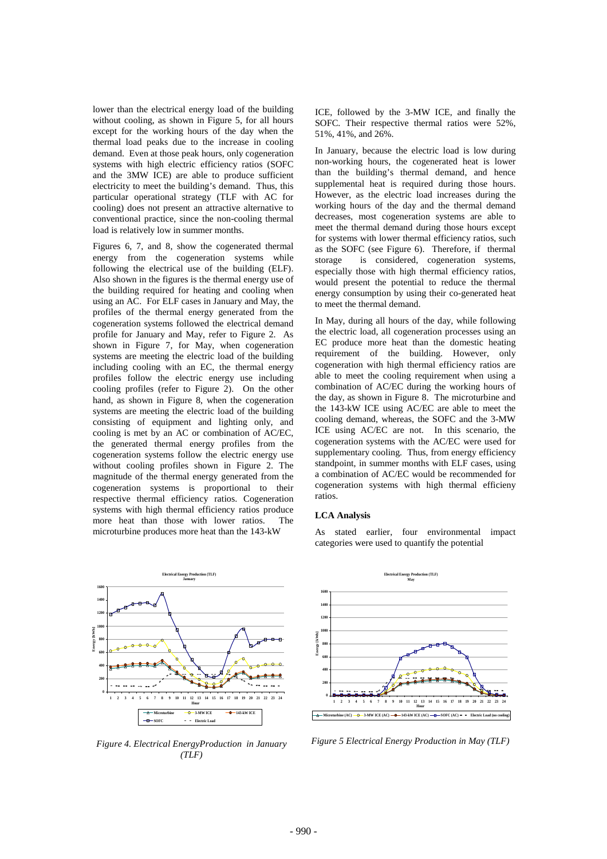lower than the electrical energy load of the building without cooling, as shown in Figure 5, for all hours except for the working hours of the day when the thermal load peaks due to the increase in cooling demand. Even at those peak hours, only cogeneration systems with high electric efficiency ratios (SOFC and the 3MW ICE) are able to produce sufficient electricity to meet the building's demand. Thus, this particular operational strategy (TLF with AC for cooling) does not present an attractive alternative to conventional practice, since the non-cooling thermal load is relatively low in summer months.

Figures 6, 7, and 8, show the cogenerated thermal energy from the cogeneration systems while following the electrical use of the building (ELF). Also shown in the figures is the thermal energy use of the building required for heating and cooling when using an AC. For ELF cases in January and May, the profiles of the thermal energy generated from the cogeneration systems followed the electrical demand profile for January and May, refer to Figure 2. As shown in Figure 7, for May, when cogeneration systems are meeting the electric load of the building including cooling with an EC, the thermal energy profiles follow the electric energy use including cooling profiles (refer to Figure 2). On the other hand, as shown in Figure 8, when the cogeneration systems are meeting the electric load of the building consisting of equipment and lighting only, and cooling is met by an AC or combination of AC/EC, the generated thermal energy profiles from the cogeneration systems follow the electric energy use without cooling profiles shown in Figure 2. The magnitude of the thermal energy generated from the cogeneration systems is proportional to their respective thermal efficiency ratios. Cogeneration systems with high thermal efficiency ratios produce more heat than those with lower ratios. The microturbine produces more heat than the 143-kW



*Figure 4. Electrical EnergyProduction in January (TLF)* 

ICE, followed by the 3-MW ICE, and finally the SOFC. Their respective thermal ratios were 52%, 51%, 41%, and 26%.

In January, because the electric load is low during non-working hours, the cogenerated heat is lower than the building's thermal demand, and hence supplemental heat is required during those hours. However, as the electric load increases during the working hours of the day and the thermal demand decreases, most cogeneration systems are able to meet the thermal demand during those hours except for systems with lower thermal efficiency ratios, such as the SOFC (see Figure 6). Therefore, if thermal storage is considered, cogeneration systems, especially those with high thermal efficiency ratios, would present the potential to reduce the thermal energy consumption by using their co-generated heat to meet the thermal demand.

In May, during all hours of the day, while following the electric load, all cogeneration processes using an EC produce more heat than the domestic heating requirement of the building. However, only cogeneration with high thermal efficiency ratios are able to meet the cooling requirement when using a combination of AC/EC during the working hours of the day, as shown in Figure 8. The microturbine and the 143-kW ICE using AC/EC are able to meet the cooling demand, whereas, the SOFC and the 3-MW ICE using AC/EC are not. In this scenario, the cogeneration systems with the AC/EC were used for supplementary cooling. Thus, from energy efficiency standpoint, in summer months with ELF cases, using a combination of AC/EC would be recommended for cogeneration systems with high thermal efficieny ratios.

#### **LCA Analysis**

As stated earlier, four environmental impact categories were used to quantify the potential



*Figure 5 Electrical Energy Production in May (TLF)*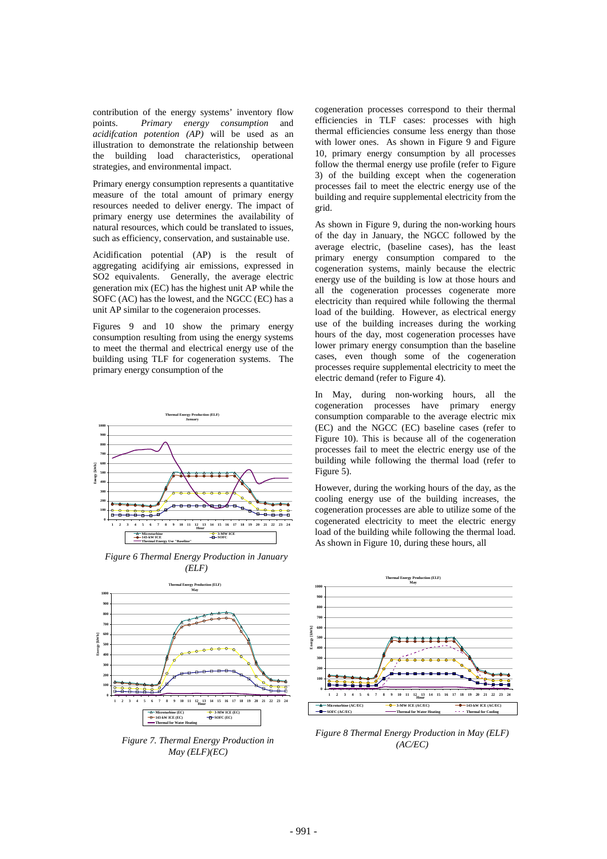contribution of the energy systems' inventory flow points. *Primary energy consumption* and *acidifcation potention (AP)* will be used as an illustration to demonstrate the relationship between the building load characteristics, operational strategies, and environmental impact.

Primary energy consumption represents a quantitative measure of the total amount of primary energy resources needed to deliver energy. The impact of primary energy use determines the availability of natural resources, which could be translated to issues, such as efficiency, conservation, and sustainable use.

Acidification potential (AP) is the result of aggregating acidifying air emissions, expressed in SO2 equivalents. Generally, the average electric generation mix (EC) has the highest unit AP while the SOFC (AC) has the lowest, and the NGCC (EC) has a unit AP similar to the cogeneraion processes.

Figures 9 and 10 show the primary energy consumption resulting from using the energy systems to meet the thermal and electrical energy use of the building using TLF for cogeneration systems. The primary energy consumption of the







*Figure 7. Thermal Energy Production in May (ELF)(EC)* 

cogeneration processes correspond to their thermal efficiencies in TLF cases: processes with high thermal efficiencies consume less energy than those with lower ones. As shown in Figure 9 and Figure 10, primary energy consumption by all processes follow the thermal energy use profile (refer to Figure 3) of the building except when the cogeneration processes fail to meet the electric energy use of the building and require supplemental electricity from the grid.

As shown in Figure 9, during the non-working hours of the day in January, the NGCC followed by the average electric, (baseline cases), has the least primary energy consumption compared to the cogeneration systems, mainly because the electric energy use of the building is low at those hours and all the cogeneration processes cogenerate more electricity than required while following the thermal load of the building. However, as electrical energy use of the building increases during the working hours of the day, most cogeneration processes have lower primary energy consumption than the baseline cases, even though some of the cogeneration processes require supplemental electricity to meet the electric demand (refer to Figure 4).

In May, during non-working hours, all the cogeneration processes have primary energy consumption comparable to the average electric mix (EC) and the NGCC (EC) baseline cases (refer to Figure 10). This is because all of the cogeneration processes fail to meet the electric energy use of the building while following the thermal load (refer to Figure 5).

However, during the working hours of the day, as the cooling energy use of the building increases, the cogeneration processes are able to utilize some of the cogenerated electricity to meet the electric energy load of the building while following the thermal load. As shown in Figure 10, during these hours, all



*Figure 8 Thermal Energy Production in May (ELF) (AC/EC)*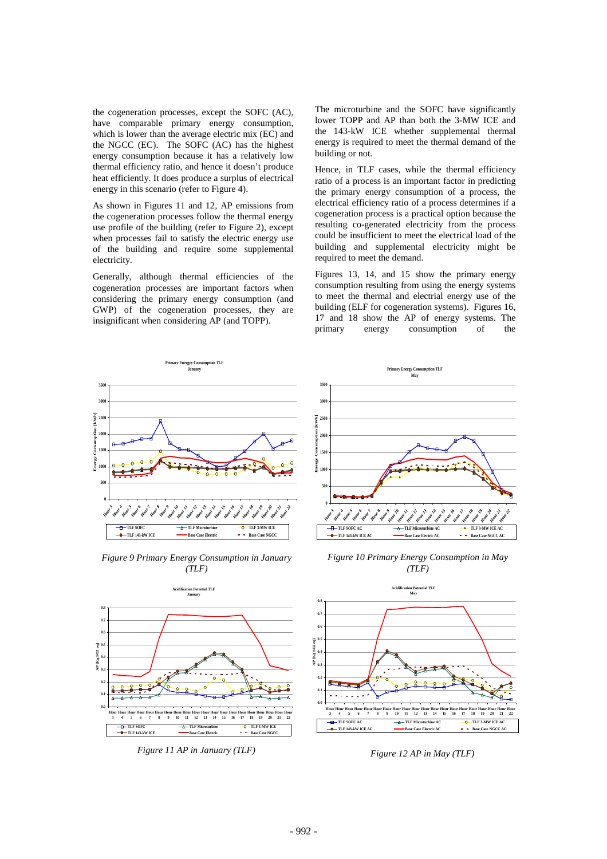the cogeneration processes, except the SOFC (AC), have comparable primary energy consumption, which is lower than the average electric mix (EC) and the NGCC (EC). The SOFC (AC) has the highest energy consumption because it has a relatively low thermal efficiency ratio, and hence it doesn't produce heat efficiently. It does produce a surplus of electrical energy in this scenario (refer to Figure 4).

As shown in Figures 11 and 12, AP emissions from the cogeneration processes follow the thermal energy use profile of the building (refer to Figure 2), except when processes fail to satisfy the electric energy use of the building and require some supplemental electricity.

Generally, although thermal efficiencies of the cogeneration processes are important factors when considering the primary energy consumption (and GWP) of the cogeneration processes, they are insignificant when considering AP (and TOPP).

The microturbine and the SOFC have significantly lower TOPP and AP than both the 3-MW ICE and the 143-kW ICE whether supplemental thermal energy is required to meet the thermal demand of the building or not.

Hence, in TLF cases, while the thermal efficiency ratio of a process is an important factor in predicting the primary energy consumption of a process, the electrical efficiency ratio of a process determines if a cogeneration process is a practical option because the resulting co-generated electricity from the process could be insufficient to meet the electrical load of the building and supplemental electricity might be required to meet the demand.

Figures 13, 14, and 15 show the primary energy consumption resulting from using the energy systems to meet the thermal and electrial energy use of the building (ELF for cogeneration systems). Figures 16, 17 and 18 show the AP of energy systems. The primary energy consumption of the



*Figure 9 Primary Energy Consumption in January (TLF)* 



*Figure 11 AP in January (TLF)* 



*Figure 10 Primary Energy Consumption in May (TLF)* 



*Figure 12 AP in May (TLF)*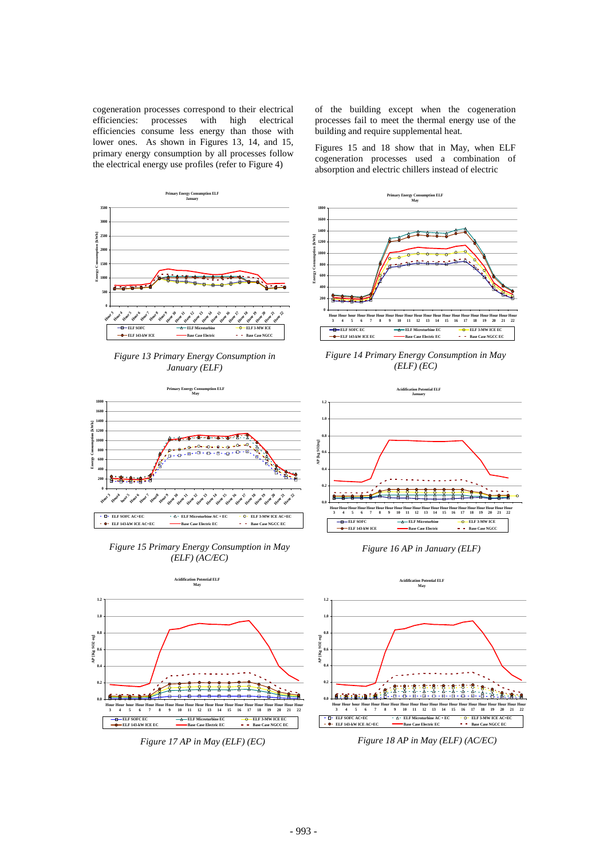cogeneration processes correspond to their electrical efficiencies: processes with high electrical efficiencies consume less energy than those with lower ones. As shown in Figures 13, 14, and 15, primary energy consumption by all processes follow the electrical energy use profiles (refer to Figure 4)

of the building except when the cogeneration processes fail to meet the thermal energy use of the building and require supplemental heat.

Figures 15 and 18 show that in May, when ELF cogeneration processes used a combination of absorption and electric chillers instead of electric



*Figure 15 Primary Energy Consumption in May (ELF) (AC/EC)* 





*Figure 16 AP in January (ELF)* 



*Figure 18 AP in May (ELF) (AC/EC)*